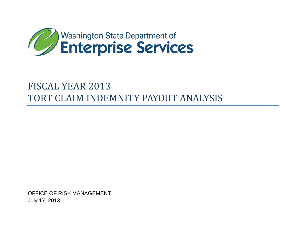

# FISCAL YEAR 2013 TORT CLAIM INDEMNITY PAYOUT ANALYSIS

OFFICE OF RISK MANAGEMENT July 17, 2013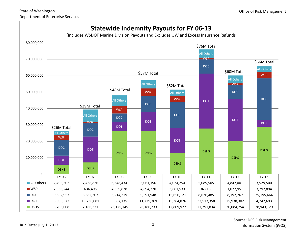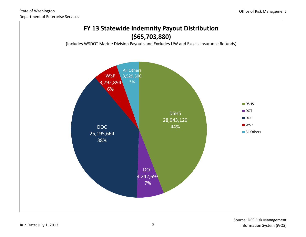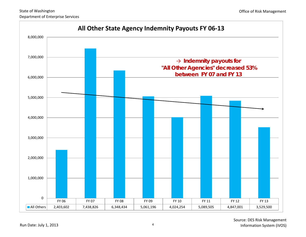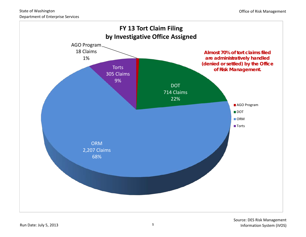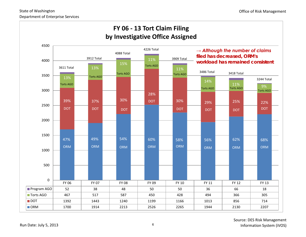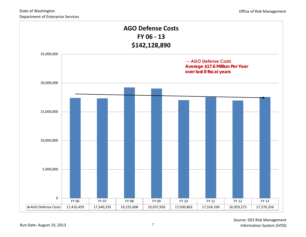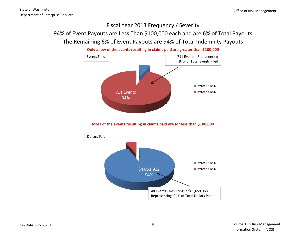## Fiscal Year 2013 Frequency / Severity 94% of Event Payouts are Less Than \$100,000 each and are 6% of Total Payouts The Remaining 6% of Event Payouts are 94% of Total Indemnity Payouts



**Most of the events resulting in claims paid are for less than \$100,000**

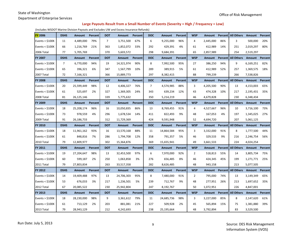#### State of Washington

Department of Enterprise Services

#### **Large Payouts Result from a Small Number of Events (Severity = High / Frequency = Low)**

(Includes WSDOT Marine Division Payouts and Excludes UW and Excess Insurance Refunds)

| <b>FY 2006</b>    | <b>DSHS</b> | <b>Amount</b> | Percent | <b>DOT</b>     | Amount        | Percent        | <b>DOC</b> | <b>Amount</b> | Percent | <b>WSP</b>     | Amount        |     | Percent   All Others      | Amount    | Percent |
|-------------------|-------------|---------------|---------|----------------|---------------|----------------|------------|---------------|---------|----------------|---------------|-----|---------------------------|-----------|---------|
| Events $>$ \$100K | 11          | 4,489,000     | 79%     | $\overline{7}$ | 3,751,500     | 67%            | 6          | 9,255,000     | 96%     | 4              | 2,445,000     | 86% | 3                         | 500,000   | 20%     |
| Events < $$100K$  | 66          | 1,216,769     | 21%     | 363            | 1,852,072     | 33%            | 292        | 429,391       | 4%      | 61             | 412,989       | 14% | 251                       | 2,019,297 | 80%     |
| 2006 Total        | 77          | 5,705,769     |         | 370            | 5,603,572     |                | 298        | 9,684,391     |         | 65             | 2,857,989     |     | 254                       | 2,519,297 |         |
| <b>FY 2007</b>    | <b>DSHS</b> | <b>Amount</b> | Percent | <b>DOT</b>     | <b>Amount</b> | Percent        | <b>DOC</b> | <b>Amount</b> | Percent | <b>WSP</b>     | <b>Amount</b> |     | Percent   All Others      | Amount    | Percent |
| Events $>$ \$100K | 7           | 6,770,000     | 94%     | 19             | 14,321,974    | 90%            | 8          | 7,992,500     | 95%     | 27             | 386,250       | 94% | 9                         | 6,169,251 | 82%     |
| Events $<$ \$100K | 65          | 396,321       | 6%      | 347            | 1,567,799     | 10%            | 289        | 389,915       | 5%      | 61             | 412,989       | 52% | 257                       | 1,369,575 | 18%     |
| 2007 Total        | 72          | 7,166,321     |         | 366            | 15,889,773    |                | 297        | 8,382,415     |         | 88             | 799,239       |     | 266                       | 7,538,826 |         |
| <b>FY 2008</b>    | <b>DSHS</b> | Amount        | Percent | <b>DOT</b>     | Amount        | Percent        | <b>DOC</b> | <b>Amount</b> | Percent | <b>WSP</b>     | <b>Amount</b> |     | Percent   All Others      | Amount    | Percent |
| Events > \$100K   | 20          | 25,599,449    | 98%     | 12             | 4,406,327     | 76%            | 7          | 4,574,985     | 88%     | 3              | 4,205,500     | 90% | 13                        | 4,153,003 | 65%     |
| Events $<$ \$100K | 61          | 525,697       | 2%      | 327            | 1,369,305     | 24%            | 343        | 639,234       | 12%     | 43             | 474,328       | 10% | 217                       | 2,195,431 | 35%     |
| 2008 Total        | 81          | 26,125,146    |         | 339            | 5,775,632     |                | 350        | 5,214,219     |         | 46             | 4,679,828     |     | 230                       | 6,348,434 |         |
| <b>FY 2009</b>    | <b>DSHS</b> | Amount        | Percent | <b>DOT</b>     | Amount        | Percent        | <b>DOC</b> | <b>Amount</b> | Percent | <b>WSP</b>     | <b>Amount</b> |     | Percent   All Others      | Amount    | Percent |
| Events $>$ \$100K | 18          | 25,208,174    | 96%     | 16             | 10,050,835    | 86%            | 13         | 8,769,455     | 91%     | 4              | 4,527,667     | 96% | 10                        | 3,716,100 | 73%     |
| Events < $$100K$  | 73          | 978,559       | 4%      | 296            | 1,678,534     | 14%            | 411        | 822,493       | 9%      | 48             | 167,053       | 4%  | 197                       | 1,345,025 | 27%     |
| 2009 Total        | 91          | 26,186,733    |         | 312            | 11,729,369    |                | 424        | 9,591,948     |         | 52             | 4,694,720     |     | 207                       | 5,061,125 |         |
|                   |             |               |         |                |               |                |            |               |         |                |               |     |                           |           |         |
| <b>FY 2010</b>    | <b>DSHS</b> | Amount        | Percent | <b>DOT</b>     | Amount        | Percent        | <b>DOC</b> | <b>Amount</b> | Percent | <b>WSP</b>     | <b>Amount</b> |     | Percent   All Others      | Amount    | Percent |
| Events $>$ \$100K | 18          | 11,961,162    | 93%     | 16             | 13,570,168    | 88%            | 11         | 14,864,584    | 95%     | 3              | 3,332,000     | 91% | 8                         | 1,777,500 | 44%     |
| Events $<$ \$100K | 61          | 848,816       | 7%      | 286            | 1,794,708     | 12%            | 358        | 791,357       | 5%      | 46             | 329,533       | 9%  | 216                       | 2,246,754 | 56%     |
| 2010 Total        | 79          | 12,809,977    |         | 302            | 15,364,876    |                | 369        | 15,655,941    |         | 49             | 3,661,533     |     | 224                       | 4,024,254 |         |
| <b>FY 2011</b>    | <b>DSHS</b> | Amount        | Percent | <b>DOT</b>     | Amount        | Percent        | <b>DOC</b> | <b>Amount</b> | Percent | <b>WSP</b>     | <b>Amount</b> |     | Percent   All Others      | Amount    | Percent |
| Events > \$100K   | 19          | 27,204,647    | 98%     | 13             | 32,453,500    | 97%            | 6          | 7,970,000     | 92%     | $\overline{2}$ | 518,813       | 55% | 14                        | 3,805,734 | 75%     |
| Events $<$ \$100K | 60          | 599,187       | 2%      | 250            | 1,063,858     | 3%             | 276        | 656,485       | 8%      | 46             | 424,345       | 45% | 199                       | 1,271,771 | 25%     |
| 2011 Total        | 79          | 27,803,834    |         | 263            | 33,517,358    |                | 282        | 8,626,485     |         | 48             | 943,158       |     | 213                       | 5,077,505 |         |
| <b>FY 2012</b>    | <b>DSHS</b> | <b>Amount</b> | Percent | <b>DOT</b>     | Amount        | Percent        | <b>DOC</b> | <b>Amount</b> | Percent | <b>WSP</b>     | <b>Amount</b> |     | <b>Percent All Others</b> | Amount    | Percent |
| Events $>$ \$100K | 14          | 19,409,488    | 97%     | 13             | 24,706,303    | 95%            | 8          | 7.480.000     | 91%     | $\overline{2}$ | 795,000       | 74% | 13                        | 3,149,349 | 65%     |
| Events $<$ \$100K | 53          | 676,033       | 3%      | 217            | 1,236,501     | 5%             | 239        | 712,767       | 9%      | 48             | 277,951       | 26% | 213                       | 1,697,652 | 35%     |
| 2012 Total        | 67          | 20,085,522    |         | 230            | 25,942,804    |                | 247        | 8,192,767     |         | 50             | 1,072,951     |     | 226                       | 4,847,001 |         |
| <b>FY 2013</b>    | <b>DSHS</b> | Amount        | Percent | <b>DOT</b>     | <b>Amount</b> | <b>Percent</b> | <b>DOC</b> | <b>Amount</b> | Percent | <b>WSP</b>     | <b>Amount</b> |     | Percent   All Others      | Amount    | Percent |
| Events $>$ \$100K | 18          | 28,230,000    | 98%     | 9              | 3,361,612     | 79%            | 11         | 24,685,736    | 98%     | 3              | 3,227,000     | 85% | 8                         | 2,147,620 | 61%     |
| Events $<$ \$100K | 61          | 713,129       | 2%      | 203            | 881,081       | 21%            | 227        | 509,928       | 2%      | 45             | 565,894       | 15% | 75                        | 1,381,880 | 39%     |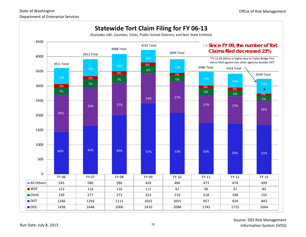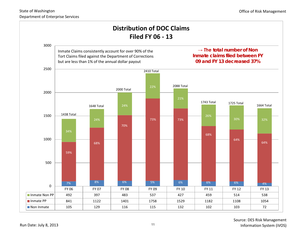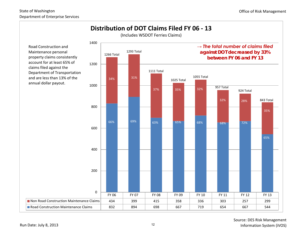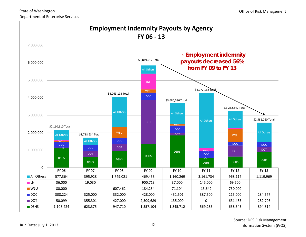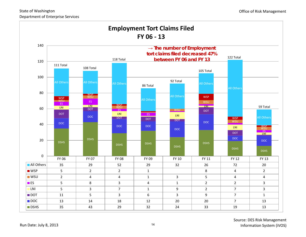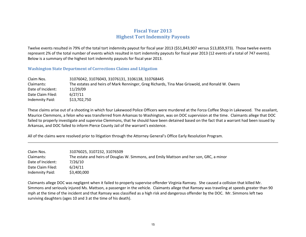### **Fiscal Year 2013 Highest Tort Indemnity Payouts**

Twelve events resulted in 79% of the total tort indemnity payout for fiscal year 2013 (\$51,843,907 versus \$13,859,973). Those twelve events represent 2% of the total number of events which resulted in tort indemnity payouts for fiscal year 2013 (12 events of a total of 747 events). Below is a summary of the highest tort indemnity payouts for fiscal year 2013.

#### **Washington State Department of Corrections Claims and Litigation**

| Claim Nos.        | 31076042, 31076043, 31076131, 3106138, 310768445                                               |
|-------------------|------------------------------------------------------------------------------------------------|
| Claimants:        | The estates and heirs of Mark Renninger, Greg Richards, Tina Mae Griswold, and Ronald W. Owens |
| Date of Incident: | 11/29/09                                                                                       |
| Date Claim Filed: | 6/27/11                                                                                        |
| Indemnity Paid:   | \$13,702,750                                                                                   |

These claims arise out of a shooting in which four Lakewood Police Officers were murdered at the Forza Coffee Shop in Lakewood. The assailant, Maurice Clemmons, a felon who was transferred from Arkansas to Washington, was on DOC supervision at the time. Claimants allege that DOC failed to properly investigate and supervise Clemmons, that he should have been detained based on the fact that a warrant had been issued by Arkansas, and DOC failed to inform Pierce County Jail of the warrant's existence.

All of the claims were resolved prior to litigation through the Attorney General's Office Early Resolution Program.

| Claim Nos.        | 31076025, 3107232, 31076509                                                             |
|-------------------|-----------------------------------------------------------------------------------------|
| Claimants:        | The estate and heirs of Douglas W. Simmons, and Emily Mattson and her son, GRC, a minor |
| Date of Incident: | 7/26/10                                                                                 |
| Date Claim Filed: | 6/24/11                                                                                 |
| Indemnity Paid:   | \$3,400,000                                                                             |

Claimants allege DOC was negligent when it failed to properly supervise offender Virginia Ramsey. She caused a collision that killed Mr. Simmons and seriously injured Ms. Mattson, a passenger in the vehicle. Claimants allege that Ramsey was traveling at speeds greater than 90 mph at the time of the incident and that Ramsey was classified as a high risk and dangerous offender by the DOC. Mr. Simmons left two surviving daughters (ages 10 and 3 at the time of his death).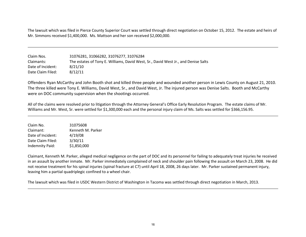The lawsuit which was filed in Pierce County Superior Court was settled through direct negotiation on October 15, 2012. The estate and heirs of Mr. Simmons received \$1,400,000. Ms. Mattson and her son received \$2,000,000.

| Claim Nos.        | 31076281, 31066282, 31076277, 31076284                                             |
|-------------------|------------------------------------------------------------------------------------|
| Claimants:        | The estates of Tony E. Williams, David West, Sr., David West Jr., and Denise Salts |
| Date of Incident: | 8/21/10                                                                            |
| Date Claim Filed: | 8/12/11                                                                            |

Offenders Ryan McCarthy and John Booth shot and killed three people and wounded another person in Lewis County on August 21, 2010. The three killed were Tony E. Williams, David West, Sr., and David West, Jr. The injured person was Denise Salts. Booth and McCarthy were on DOC community supervision when the shootings occurred.

All of the claims were resolved prior to litigation through the Attorney General's Office Early Resolution Program. The estate claims of Mr. Williams and Mr. West, Sr. were settled for \$1,300,000 each and the personal injury claim of Ms. Salts was settled for \$366,156.95.

| Claim No.         | 31075608          |
|-------------------|-------------------|
| Claimant:         | Kenneth M. Parker |
| Date of Incident: | 4/19/08           |
| Date Claim Filed: | 3/30/11           |
| Indemnity Paid:   | \$1,850,000       |

Claimant, Kenneth M. Parker, alleged medical negligence on the part of DOC and its personnel for failing to adequately treat injuries he received in an assault by another inmate. Mr. Parker immediately complained of neck and shoulder pain following the assault on March 23, 2008. He did not receive treatment for his spinal injuries (spinal fracture at C7) until April 18, 2008, 26 days later. Mr. Parker sustained permanent injury, leaving him a partial quadriplegic confined to a wheel chair.

The lawsuit which was filed in USDC Western District of Washington in Tacoma was settled through direct negotiation in March, 2013.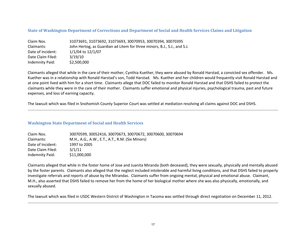#### **State of Washington Department of Corrections and Department of Social and Health Services Claims and Litigation**

| Claim Nos.        | 31073691, 31073692, 31073693, 30070953, 30070394, 30070395               |
|-------------------|--------------------------------------------------------------------------|
| Claimants:        | John Hertog, as Guardian ad Litem for three minors, B.J., S.J., and S.J. |
| Date of Incident: | 1/1/04 to 12/1/07                                                        |
| Date Claim Filed: | 3/19/10                                                                  |
| Indemnity Paid:   | \$2,500,000                                                              |

Claimants alleged that while in the care of their mother, Cynthia Kuether, they were abused by Ronald Harstad, a convicted sex offender. Ms. Kuether was in a relationship with Ronald Harstad's son, Todd Harstad. Ms. Kuether and her children would frequently visit Ronald Harstad and at one point lived with him for a short time. Claimants allege that DOC failed to monitor Ronald Harstad and that DSHS failed to protect the claimants while they were in the care of their mother. Claimants suffer emotional and physical injuries, psychological trauma, past and future expenses, and loss of earning capacity.

The lawsuit which was filed in Snohomish County Superior Court was settled at mediation resolving all claims against DOC and DSHS.

#### **Washington State Department of Social and Health Services**

| Claim Nos.        | 30070599, 30052416, 30070673, 30070672, 30070600, 30070694 |
|-------------------|------------------------------------------------------------|
| Claimants:        | M.H., A.G., A.W., E.T., A.T., R.M. (Six Minors)            |
| Date of Incident: | 1997 to 2005                                               |
| Date Claim Filed: | 3/1/11                                                     |
| Indemnity Paid:   | \$11,000,000                                               |

Claimants alleged that while in the foster home of Jose and Juanita Miranda (both deceased), they were sexually, physically and mentally abused by the foster parents. Claimants also alleged that the neglect included intolerable and harmful living conditions, and that DSHS failed to properly investigate referrals and reports of abuse by the Mirandas. Claimants suffer from ongoing mental, physical and emotional abuse. Claimant, M.H., also asserted that DSHS failed to remove her from the home of her biological mother where she was also physically, emotionally, and sexually abused.

The lawsuit which was filed in USDC Western District of Washington in Tacoma was settled through direct negotiation on December 11, 2012.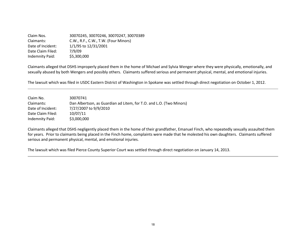Claim Nos. 30070245, 30070246, 30070247, 30070389 Claimants: C.W., R.F., C.W., T.W. (Four Minors) Date of Incident: 1/1/95 to 12/31/2001 Date Claim Filed: 7/9/09 Indemnity Paid: \$5,300,000

Claimants alleged that DSHS improperly placed them in the home of Michael and Sylvia Wenger where they were physically, emotionally, and sexually abused by both Wengers and possibly others. Claimants suffered serious and permanent physical, mental, and emotional injuries.

The lawsuit which was filed in USDC Eastern District of Washington in Spokane was settled through direct negotiation on October 1, 2012.

| Claim No.         | 30070741                                                            |
|-------------------|---------------------------------------------------------------------|
| Claimants:        | Dan Albertson, as Guardian ad Litem, for T.O. and L.O. (Two Minors) |
| Date of Incident: | 7/27/2007 to 9/9/2010                                               |
| Date Claim Filed: | 10/07/11                                                            |
| Indemnity Paid:   | \$3,000,000                                                         |

Claimants alleged that DSHS negligently placed them in the home of their grandfather, Emanuel Finch, who repeatedly sexually assaulted them for years. Prior to claimants being placed in the Finch home, complaints were made that he molested his own daughters. Claimants suffered serious and permanent physical, mental, and emotional injuries.

The lawsuit which was filed Pierce County Superior Court was settled through direct negotiation on January 14, 2013.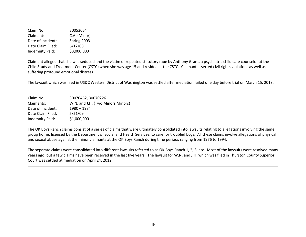Claim No. 30053054 Claimant: C.A. (Minor) Date of Incident: Spring 2003 Date Claim Filed: 6/12/08 Indemnity Paid: \$3,000,000

Claimant alleged that she was seduced and the victim of repeated statutory rape by Anthony Grant, a psychiatric child care counselor at the Child Study and Treatment Center (CSTC) when she was age 15 and resided at the CSTC. Claimant asserted civil rights violations as well as suffering profound emotional distress.

The lawsuit which was filed in USDC Western District of Washington was settled after mediation failed one day before trial on March 15, 2013.

Claim No. 30070462, 30070226 Claimants: W.N. and J.H. (Two Minors Minors) Date of Incident: 1980 – 1984 Date Claim Filed: 5/21/09 Indemnity Paid: \$1,000,000

The OK Boys Ranch claims consist of a series of claims that were ultimately consolidated into lawsuits relating to allegations involving the same group home, licensed by the Department of Social and Health Services, to care for troubled boys. All these claims involve allegations of physical and sexual abuse against the minor claimants at the OK Boys Ranch during time periods ranging from 1976 to 1994.

The separate claims were consolidated into different lawsuits referred to as OK Boys Ranch 1, 2, 3, etc. Most of the lawsuits were resolved many years ago, but a few claims have been received in the last five years. The lawsuit for W.N. and J.H. which was filed in Thurston County Superior Court was settled at mediation on April 24, 2012.